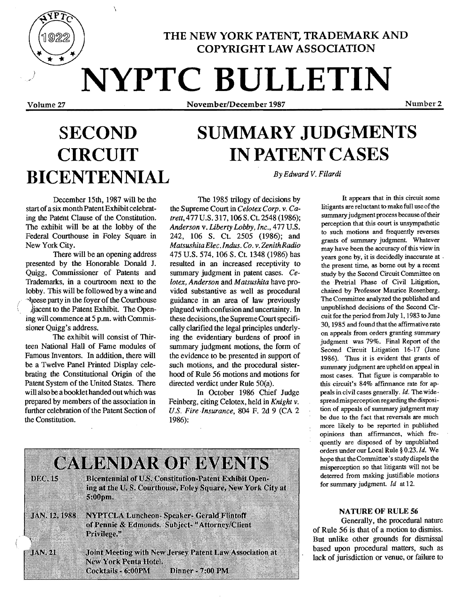

THE NEW YORK PATENT, TRADEMARK AND COPYRIGHT LAW ASSOCIATION

**NYPTC BULLETIN** 

Volume 27 November/December 1987 Number 2

## **SECOND SUMMARY JUDGMENTS CIRCUIT IN PATENT CASES**  By *Edward* V. *Filardi* **BICENTENNIAL**

,  $\ddot{\phantom{1}}$ 

December 15th, 1987 will be the start of a six month Patent Exhibit celebrating the Patent Clause of the Constitution. The exhibit will be at the lobby of the Federal Courthouse in Foley Square in New York City.

There will be an opening address presented by the Honorable Donald J. Quigg, Commissioner of Patents and Trademarks, in a courtroom next to the lobby. This will be followed by a wine and ~heese party in the foyer of the Courthouse )jacent to the Patent Exhibit. The Opening will commence at 5 p.m. with Commissioner Quigg's address.

The exhibit will consist of Thirteen National Hall of Fame modules of Famous Inventors. In addition, there will be a Twelve Panel Printed Display celebrating the Constitutional Origin of the Patent System of the United States. There will also be a booklet handed out which was prepared by members of the association in further celebration of the Patent Section of the Constitution.

The 1985 trilogy of decisions by the Supreme Court in *Celotex Corp.* v. *Catrett,* 477 U.S. 317,106 S. Ct. 2548 (1986); *Anderson* v. *Liberty Lobby, Inc.,* 477 U.S. 242, 106 S. Ct. 2505 (1986); and *Matsushita Elec.Indus. Co. v.ZenithRadio*  475 U.S. 574, 106 S. Ct. 1348 (1986) has resulted in an increased receptivity to summary judgment in patent cases. *Celotex, Anderson* and *Matsushita* have provided substantive as well as procedural guidance in an area of law previously plagued with confusion and uncertainty. In these decisions, the Supreme Court specifically clarified the legal principles underlying the evidentiary burdens of proof in summary judgment motions, the form of the evidence to be presented in support of such motions, and the procedural sisterhood of Rule 56 motions and motions for directed verdict under Rule 50(a).

In October 1986 Chief Judge Feinberg, citing Celotex, held in *Knight* v. *U.S. Fire Insurance,* 804 F. 2d 9 (CA 2 1986):



It appears that in this circuit some litigants are reluctant to make full use of the summary judgment process because of their perception that this court is unsympathetic to such motions and frequently reverses grants of summary judgment. Whatever may have been the accuracy of this view in years gone by, it is decidedly inaccurate at . the present time, as borne out by a recent study by the Second Circuit Committee on the . Pretrial Phase of Civil Litigation, chaired by Professor Maurice Rosenberg. The Committee analyzed the published and unpublished decisions of the Second Circuit for the period from July 1, 1983 to June 30, 1985 and found that the affirmative rate on appeals from orders granting summary judgment was 79%. Final Report of the Second Circuit Litigation 16-17 (June 1986). Thus it is evident that grants of summary judgment are upheld on appeal in most cases. That figure is comparable to this circuit's 84% affirmance rate for appeals in civil cases generally. Id. The widespread misperception regarding the disposition of appeals of summary judgment may be due to the fact that reversals are much more likely to be reported in published opinions than affirmances, which frequently are disposed of by unpublished orders under our Local Rule § *O.23.Id.* We hope that the Committee's study dispels the misperception so that litigants will not be deterred from making justifiable motions for summary judgment. *Id* at 12.

#### NATURE OF RULE 56

Generally, the procedural nature of Rule 56 is that of a motion to dismiss. But unlike other grounds for dismissal based upon procedural matters, such as lack of jurisdiction or venue, or failure to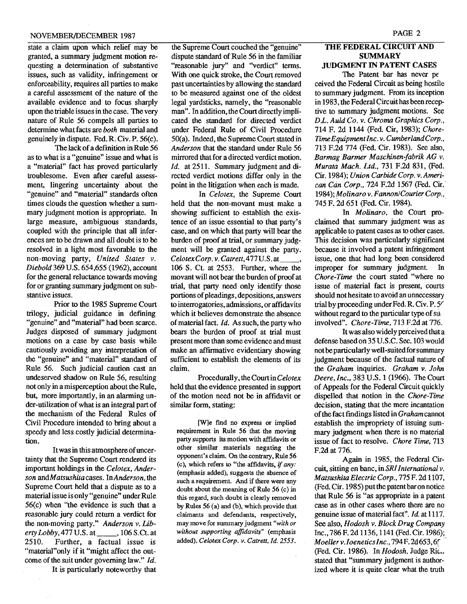state a claim upon which relief may be granted, a summary judgment motion requesting a determination of substantive issues, such as validity, infringement or enforceability, requires all parties to make a careful assessment of the nature of the available evidence and to focus sharply upon the triable issues in the case. The very nature of Rule 56 compels all parties to determine what facts are *both* material and genuinely in dispute. Fed. R. Civ. P. 56(c).

The lack of a definition in Rule 56 as to what is a "genuine" issue and what is a "material" fact has proved particularly troublesome. Even after careful assessment, lingering uncertainty about the "genuine" and "material" standards often times clouds the question whether a summary judgment motion is appropriate. In large measure, ambiguous standards, coupled with the principle that all inferences are to be drawn and all doubt is to be resolved in a light most favorable to the non-moving party, *United States* v. *Diebold* 369 U.S. 654,655 (1962), account for the general reluctance towards moving for or granting summary judgment on substantive issues.

Prior to the 1985 Supreme Court trilogy, judicial guidance in defining "genuine" and "material" had been scarce. Judges disposed of summary judgment motions on a case by case basis while cautiously avoiding any interpretation of the "genuine" and "material" standard of Rule 56. Such judicial caution cast an undeserved shadow on Rule 56, resulting not only in a misperception about the Rule, but, more importantly, in an alarming under-utilization of what is an integral part of the mechanism of the Federal Rules of Civil Procedure intended to bring about a speedy and less costly judicial determination.

It was in this atmosphere of uncertainty that the Supreme Court rendered its important holdings in the *Celotex, Anderson andMatsushitacases. InAnderson,* the Supreme Court held that a dispute as to a material issue is only "genuine" under Rule  $56(c)$  when "the evidence is such that a reasonable jury could return a verdict for the non-moving party." *Anderson* v. *LibertyLobby,477U.S.at \_\_,* 106 S.Ct. at Further, a factual issue is "material" only if it "might affect the outcome of the suit under governing law." *Id.* 

It is particularly noteworthy that

the Supreme Court couched the "genuine" dispute standard of Rule 56 in the familiar "reasonable jury" and "verdict" terms. With one quick stroke, the Court removed past uncertainties by allowing the standard to be measured against one of the oldest legal yardsticks, namely, the "reasonable man". In addition, the Court directly implicated the standard for directed verdict under Federal Rule of Civil Procedure 50(a). Indeed, the Supreme Court stated in *Anderson* that the standard under Rule 56 mirrored that for a directed verdict motion. *Id.* at 2511. Summary judgment and directed verdict motions differ only in the point in the litigation when each is made.

In *Celotex,* the Supreme Court held that the non-movant must make a showing sufficient to establish the existence of an issue essential to that party's case, and on which that party will bear the burden of proof at trial, or summary judgment will be granted against the party. *CelotexCorp.* v. *Catrett,477U.S.at \_\_,*  106 S. Ct. at 2553. Further, where the movant will not bear the burden of proof at trial, that party need only identify those portions of pleadings, depositions, answers to interrogatories, admissions, or affidavits which it believes demonstrate the absence ofmaterial fact. *Id.* As such, the party who bears the burden of proof at trial must present more than some evidence and must make an affirmative evidentiary showing sufficient to establish the elements of its claim.

Procedurally, *theCourtinCelotex*  held that the evidence presented in support of the motion need not be in affidavit or similar form, stating:

[W]e find no express or implied requirement. in Rule 56 that the moving party supports its motion with affidavits or other similar materials negating the opponent's claim. On the conlrary. Rule 56 (c), which refers to "the affidavits, if *any:*  (emphasis added). suggests the absence of such a requirement. And if there were any doubt about the meaning of Rule 56 (c) in this regard, such doubt is clearly removed by Rules 56 (a) and (b). which provide that claimants and defendants, respectively, may move for summary judgment *"with or without supporting affidavits"* (emphasis added). Celotex Corp. v. Catrett, Id. 2553.

#### THE FEDERAL CIRCUIT AND **SUMMARY** JUDGMENT IN PATENT CASES

The Patent bar has never pe ceived the Federal Circuit as being hostile to summary judgment. From its inception in 1983, the Federal Circuit has been receptive to summary judgment motions. See *DL. Auld Co. v. Chroma Graphics Corp.,*  714 F. 2d 1144 (Fed. Cir, 1983); *Chore-Time Equipment Inc.* v. *Cumberland Corp.* , 713 F.2d 774 (Fed. Cir. 1983). See also, *Barmag Banner Maschinen{abrik AG* v. *Murata Mach. Ltd.,* 731 F.2d 831, (Fed. Cir.1984); *Union Carbide Corp. v.American Can Corp.,* 724 F.2d 1567 (Fed. Cir.· 1984); *Molinarov. FannonICourierCorp.,*  745 F. 2d 651 (Fed. Cir. 1984). .

In *Molinaro,* the Court proclaimed that summary judgment was as applicable to patent cases as to other cases. This decision was particularly significant because it involved a patent infringement issue, one that had long been considered improper for summary judgment. In *Chore-Time* the court stated "where no issue of material fact is present, courts should not hesitate to avoid an unnecessary trial by proceeding under Fed. R. Civ. P. 5' without regard to the particular type of  $\text{sub}$ involved". *Chore-Time,* 713 F.2d at 776.

It was also widely perceived that a defense based on 35 U.S.C. Sec. 103 would not be particularly well-suited for summary judgment because of the factual nature of the *Graham* inquiries. *Graham v. John Deere, Inc.,* 383 U.S. 1 (1966). The Court of Appeals for the Federal Circuit quickly dispelled that notion in the *Chore-Time*  decision, stating that the mere incantation ofthe fact fmdings listed in *Graham*cannot establish the impropriety of issuing summary judgment when there is no material issue of fact to resolve. *Chore Time,* 713 F.2d at 776.

Again in 1985, the Federal Circuit, sitting en banc, in *SRI International* v. *Matsushita Electric Corp.,* 775 F. 2d 1107. (Fed. Cir. 1985) putthe patent baron notice that Rule 56 is "as appropriate in a patent case as in other cases where there are no genuine issue ofmaterial fact". *Id.* at 1117. See also, *Hodosh v. Block Drug Company*  Inc., 786F. 2d 1136, 1141 (Fed. Cir.1986); *Moeller v. Ioeneticslnc .•* 794F.2d653,6[ ," (Fed. Cir. 1986). In *Hodosh*, Judge Ric.. stated that "summary judgment is authorized where it is quite clear what the truth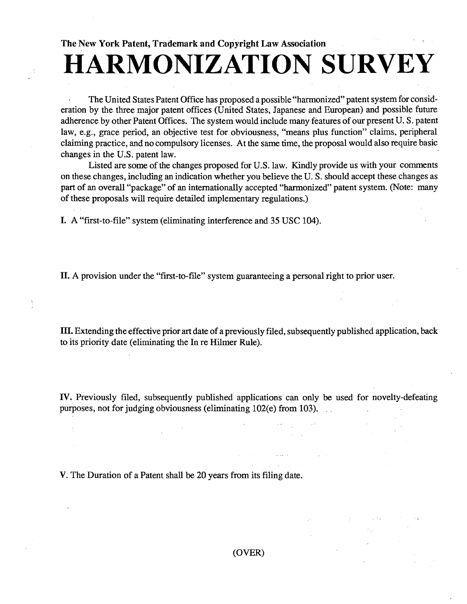# **HARMONIZATION SURVEY**

The United States Patent Office has proposed a possible "harmonized" patent system for consid-· eration by the three major patent offices (United States, Japanese and European) and possible future adherence by other Patent Offices. The system would include many features of our present U.S. patent law, e.g., grace period, an objective test for obviousness, "means plus function" claims, peripheral claiming practice, and no compulsory licenses. At the same time, the proposal would also require basic changes in the U.S. patent law.

Listed are some of the changes proposed for U.S. law. Kindly provide us with your comments on these changes, including an indication whether you believe the U. S. should accept these changes as part of an overall "package" of an internationally accepted "harmonized" patent system. (Note: many of these proposals will require detailed implementary regulations.)

I. A "fIrst-to-file" system (eliminating interference and 35 USC 104).

II. A provision under the "first-to-file" system guaranteeing a personal right to prior user.

m. Extending the effective prior art date of a previously filed, subsequently published application, back to its priority date (eliminating the In re Hilmer Rule).

IV. Previously filed, subsequently published applications can only be used for novelty-defeating purposes, not for judging obviousness (eliminating 102(e) from 103).

V. The Duration of a Patent shall be 20 years from its fIling date.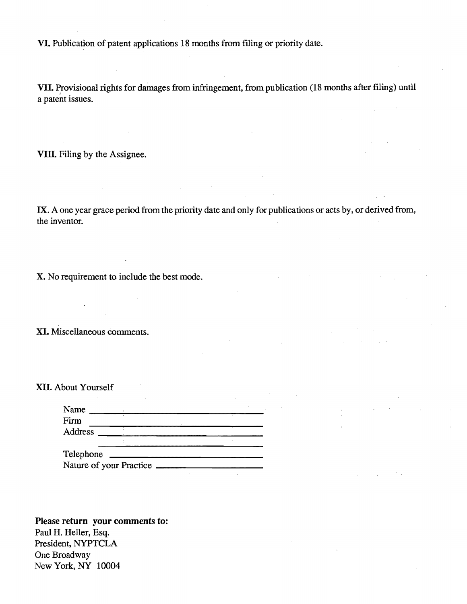VI. Publication of patent applications 18 months from fIling or priority date.

VII. Provisional rights for damages from infringement, from publication (18 months after filing) until a patent issues.

VIII. Filing by the Assignee.

IX. A one year grace period from the priority date and only for publications or acts by, or derived from, the inventor.

 $\Delta \sim 10$ 

X. No requirement to include the best mode.

XI. Miscellaneous comments.

XII. About Yourself

| Name      |                         |  |
|-----------|-------------------------|--|
| Firm      |                         |  |
| Address   |                         |  |
|           |                         |  |
| Telephone |                         |  |
|           | Nature of your Practice |  |

Please return your comments to: Paul H. Heller, Esq. President, NYPTCLA One Broadway New York, NY 10004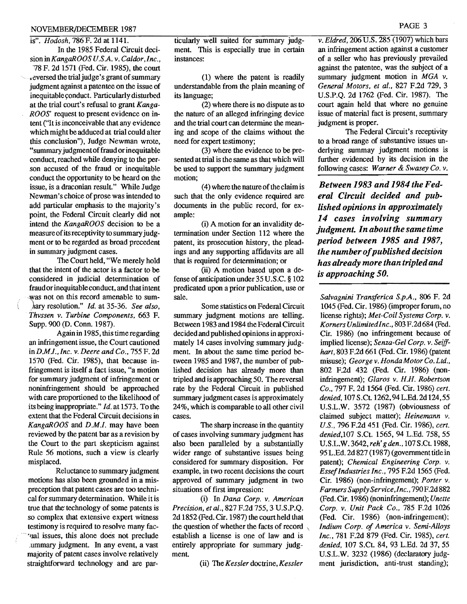### NOVEMBER/DECEMBER 1987 PAGE 3

#### is". *Hodosh,* 786 F. 2d at 1141.

In the 1985 Federal Circuit deci*sioninKangaROOS U.SA.* v. *Caldor'/nc.,*  '78 F. 2d 1571 (Fed. Cir. 1985), the court . eversed the trial judge's grant of summary judgment against a patentee on the issue of inequitable yonduct. Particularly disturbed at the trial court's refusal to grant *Kanga-ROOS'* request to present evidence on intent ("It is inconceivable that any evidence which might be adduced at trial could alter this conclusion"), Judge Newman wrote, "summary judgment of fraud or inequitable conduct, reached while denying to the person accused of the fraud or inequitable conduct the opportunity to be heard on the issue, is a draconian result." While Judge Newman's choice of prose was intended to add particular emphasis to the majority's point, the Federal Circuit clearly did not intend the *KangaROOS* decision to be a measure of its receptivity to summary judgment or to be regarded as broad precedent in summary judgment cases.

The Court held, "We merely hold that the intent of the actor is a factor to be considered in judicial determination of fraud orinequitable conduct, and that intent was not on this record amenable to sum-)lary resolution." *Id.* at 35-36. *See also, Thvssen v. Turbine Components.* 663 F. Supp. 900 (D. Conn. 1987).

Again in 1985, this time regarding an infringement issue, the Court cautioned *inDM1. .Jnc.* v. *Deere and Co .•* 755 F. 2d 1570 (Fed. Cir. 1985), that because infringement is itself a fact issue, "a motion for summary judgment of infringement or noninfringement should be approached with care proportioned to the likelihood of its being inappropriate." *Id.* at 1573. To the extent that the Federal Circuit decisions in *KangaROOS* and *D.M.I.* may have been reviewed by the patent bar as a revision by the Court to the part skepticism against Rule 56 motions, such a view is clearly misplaced.

Reluctance to summary judgment motions has also been grounded in a mispreception that patent cases are too technical for summary determination. While it is true that the' technology of some patents is so complex that extensive expert witness testimony is required to resolve many fac 'ual issues, this alone does not preclude ~ummary judgment. In any event, a vast majority of patent cases involve relatively straightforward technology and are particularly well suited for summary judgment. This is especially true in certain instances:

(1) where the patent is readily understandable from the plain meaning of its language;

(2) where there is no dispute as to the nature of an alleged infringing device and the trial court can determine the meaning and scope of the claims without the need for expert testimony;

(3) where the evidence to be presented at trial is the same as that which will be used to support the summary judgment motion;

 $(4)$  where the nature of the claim is such that the only evidence required are documents in the public record, for example:

(i) A motion for an invalidity determination under Section 112 where the patent, its prosecution history, the pleadings and any supporting affidavits are all that is required for determination; or

(ii) A motion based upon a defense ofanticipation under 35 *V.S.c.* § 102 predicated upon a prior publication, use or sale.

Some statistics on Federal Circuit summary judgment motions are telling. Between 1983 and 1984 the Federal Circuit decided and published opinions in approximately 14 cases involving summary judgment. In about the same time period between 1985 and 1987, the number of published decision has already more than tripled and is approaching 50. The reversal rate by the Federal Circuit in published summary judgment cases is approximately 24%, which is comparable to all other civil cases.

The sharp increase in the quantity of cases involving summary judgment has also been paralleled by a substantially wider range of substantive issues being considered for summary disposition. For example, in two recent decisions the court approved of summary judgment in two situations of first impression:

(i) In *Dana Corp. v. American Precision, et al.,* 827 F.2d 755, 3 *V.S.P.Q.*  2d 1852 (Fed. Cir. 1987) the court held that the question of whether the facts of record \ establish a license is one of law and is entirely appropriate for summary judgment.

(ii) The *Kessler* doctrine, *Kessler* 

*v. Eldred.* 206 *V.S.* 285 (1907) which bars an infringement action against a customer of a seller who has previously prevailed against the patentee, was the subject of a summary judgment motion in *MGA v. General Motors, et al .•* 827 F.2d 729, 3 *V.S.P.Q.* 2d 1762 (Fed. Cir. 1987). The court again held that where no genuine issue of material fact is present, summary judgment is proper.

The Federal Circuit's receptivity to a broad range of substantive issues underlying summay judgment motions is further evidenced by its decision in the following cases: *Warner* & *Swasey Co. v.* 

*Between* 1983 *and* 1984 *the F ederal Circuit decided and published opinions in approximately 14 cases involving summary judgment. In about the same time period between* 1985 *and 1987, the number ofpublished decision has already more than tripled and is approaching 50.* 

*Salvagnini Transferica S.p.A., 806 F. 2d* 1045 (Fed. Cir. 1986) (improper forum, no license rights); *Met-Coil Systems Corp. v. KornersUnlimitedlnc.•* 803F.2d684 (Fed. Cir. 1986) (no infringement because of implied license); *Senza-Gel Corp. v. Seiffhart,* 803 F.2d 661 (Fed. Cir. 1986) (patent misuse); *Georgev.HondaMotorCo.Ltd.,*  802 F.2d 432 (Fed. Cir. 1986) (noninfringement); *Glaros v. H.H. Robertson Co.,* 797 F. 2d 1564 (Fed. Cir. 1986) *cert. denied,* 107 S.Ct 1262,94L.Ed.2d 124,55 *V.SL.W.* 3572 (1987) (obviousness of claimed subject matter); *Heinemann* v. *U.S.,* 796 F.2d 451 (Fed. Cir. 1986), *cert. denied,l07* S.Ct. 1565, 94 L.Ed. 758, 55 *V.SL.W.* 3642, *reh' g den.,* 107 S.Ct 1988, 95 L.Ed. 2d 827 (1987) (government title in patent); *Chemical Engineering Corp. v. Essef Industries Inc.,* 795 F.2d 1565 (Fed. Cir. 1986) (non-infringement); *Porter v. Farmers Supply Service.I nc.,* 790 F.2d 882 (Fed. Cir. 1986) (noninfringement); *Unette Corp. v. Unit Pack Co.,* 785 F.2d 1026 (Fed. Cir. 1986) (non-infringement); *Indium Corp. of America v. Semi-Alloys Inc.,* 781 F.2d 879 (Fed. Cir. 1985), *cert. denied.* 107 S.Ct. 84, 93 L.Ed. 2d 37, 55 *V.S.t..W.* 3232 (1986) (declaratory judgment jurisdiction, anti-trust standing);